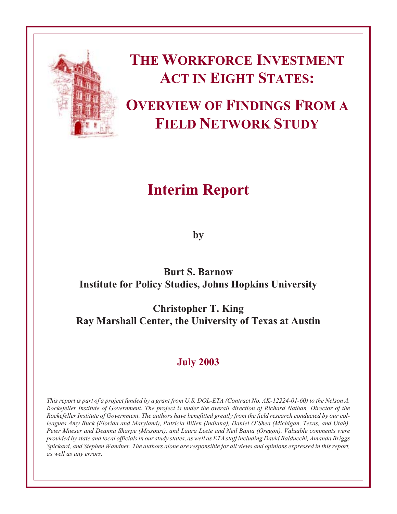

# **THE WORKFORCE INVESTMENT ACT IN EIGHT STATES:**

## **OVERVIEW OF FINDINGS FROM A FIELD NETWORK STUDY**

## **Interim Report**

**by**

### **Burt S. Barnow Institute for Policy Studies, Johns Hopkins University**

**Christopher T. King Ray Marshall Center, the University of Texas at Austin**

## **July 2003**

*This report is part of a project funded by a grant from U.S. DOL-ETA (Contract No. AK-12224-01-60) to the Nelson A. Rockefeller Institute of Government. The project is under the overall direction of Richard Nathan, Director of the Rockefeller Institute of Government. The authors have benefitted greatly from the field research conducted by our colleagues Amy Buck (Florida and Maryland), Patricia Billen (Indiana), Daniel O'Shea (Michigan, Texas, and Utah), Peter Mueser and Deanna Sharpe (Missouri), and Laura Leete and Neil Bania (Oregon). Valuable comments were provided by state and local officials in our study states, as well as ETA staff including David Balducchi, Amanda Briggs Spickard, and Stephen Wandner. The authors alone are responsible for all views and opinions expressed in this report, as well as any errors.*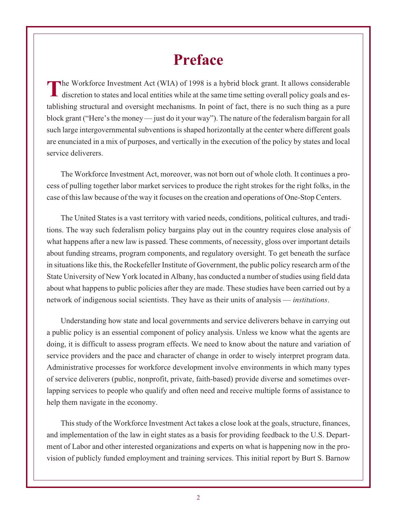## **Preface**

The Workforce Investment Act (WIA) of 1998 is a hybrid block grant. It allows considerable<br>discretion to states and local entities while at the same time setting overall policy goals and establishing structural and oversight mechanisms. In point of fact, there is no such thing as a pure block grant ("Here's the money — just do it your way"). The nature of the federalism bargain for all such large intergovernmental subventions is shaped horizontally at the center where different goals are enunciated in a mix of purposes, and vertically in the execution of the policy by states and local service deliverers.

The Workforce Investment Act, moreover, was not born out of whole cloth. It continues a process of pulling together labor market services to produce the right strokes for the right folks, in the case of this law because of the way it focuses on the creation and operations of One-Stop Centers.

The United States is a vast territory with varied needs, conditions, political cultures, and traditions. The way such federalism policy bargains play out in the country requires close analysis of what happens after a new law is passed. These comments, of necessity, gloss over important details about funding streams, program components, and regulatory oversight. To get beneath the surface in situations like this, the Rockefeller Institute of Government, the public policy research arm of the State University of New York located in Albany, has conducted a number of studies using field data about what happens to public policies after they are made. These studies have been carried out by a network of indigenous social scientists. They have as their units of analysis — *institutions*.

Understanding how state and local governments and service deliverers behave in carrying out a public policy is an essential component of policy analysis. Unless we know what the agents are doing, it is difficult to assess program effects. We need to know about the nature and variation of service providers and the pace and character of change in order to wisely interpret program data. Administrative processes for workforce development involve environments in which many types of service deliverers (public, nonprofit, private, faith-based) provide diverse and sometimes overlapping services to people who qualify and often need and receive multiple forms of assistance to help them navigate in the economy.

This study of the Workforce Investment Act takes a close look at the goals, structure, finances, and implementation of the law in eight states as a basis for providing feedback to the U.S. Department of Labor and other interested organizations and experts on what is happening now in the provision of publicly funded employment and training services. This initial report by Burt S. Barnow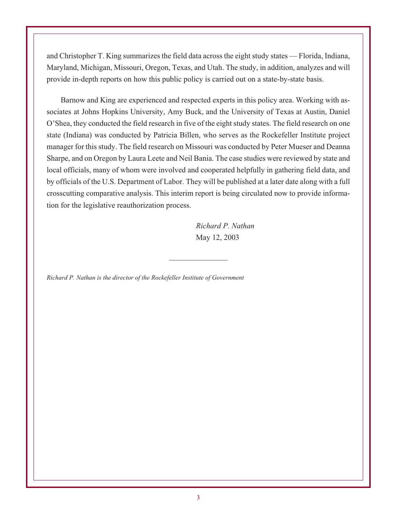and Christopher T. King summarizes the field data across the eight study states — Florida, Indiana, Maryland, Michigan, Missouri, Oregon, Texas, and Utah. The study, in addition, analyzes and will provide in-depth reports on how this public policy is carried out on a state-by-state basis.

Barnow and King are experienced and respected experts in this policy area. Working with associates at Johns Hopkins University, Amy Buck, and the University of Texas at Austin, Daniel O'Shea, they conducted the field research in five of the eight study states. The field research on one state (Indiana) was conducted by Patricia Billen, who serves as the Rockefeller Institute project manager for this study. The field research on Missouri was conducted by Peter Mueser and Deanna Sharpe, and on Oregon by Laura Leete and Neil Bania. The case studies were reviewed by state and local officials, many of whom were involved and cooperated helpfully in gathering field data, and by officials of the U.S. Department of Labor. They will be published at a later date along with a full crosscutting comparative analysis. This interim report is being circulated now to provide information for the legislative reauthorization process.

 $\mathcal{L}_\text{max}$  , where  $\mathcal{L}_\text{max}$ 

*Richard P. Nathan* May 12, 2003

*Richard P. Nathan is the director of the Rockefeller Institute of Government*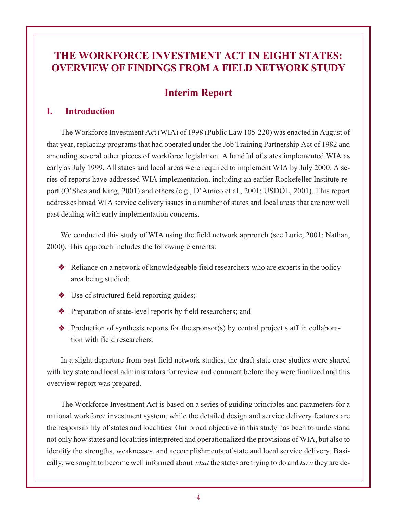### **THE WORKFORCE INVESTMENT ACT IN EIGHT STATES: OVERVIEW OF FINDINGS FROM A FIELD NETWORK STUDY**

### **Interim Report**

#### **I. Introduction**

The Workforce Investment Act (WIA) of 1998 (Public Law 105-220) was enacted in August of that year, replacing programs that had operated under the Job Training Partnership Act of 1982 and amending several other pieces of workforce legislation. A handful of states implemented WIA as early as July 1999. All states and local areas were required to implement WIA by July 2000. A series of reports have addressed WIA implementation, including an earlier Rockefeller Institute report (O'Shea and King, 2001) and others (e.g., D'Amico et al., 2001; USDOL, 2001). This report addresses broad WIA service delivery issues in a number of states and local areas that are now well past dealing with early implementation concerns.

We conducted this study of WIA using the field network approach (see Lurie, 2001; Nathan, 2000). This approach includes the following elements:

- Reliance on a network of knowledgeable field researchers who are experts in the policy area being studied;
- ◆ Use of structured field reporting guides;
- **◆** Preparation of state-level reports by field researchers; and
- $\triangleleft$  Production of synthesis reports for the sponsor(s) by central project staff in collaboration with field researchers.

In a slight departure from past field network studies, the draft state case studies were shared with key state and local administrators for review and comment before they were finalized and this overview report was prepared.

The Workforce Investment Act is based on a series of guiding principles and parameters for a national workforce investment system, while the detailed design and service delivery features are the responsibility of states and localities. Our broad objective in this study has been to understand not only how states and localities interpreted and operationalized the provisions of WIA, but also to identify the strengths, weaknesses, and accomplishments of state and local service delivery. Basically, we sought to become well informed about *what* the states are trying to do and *how* they are de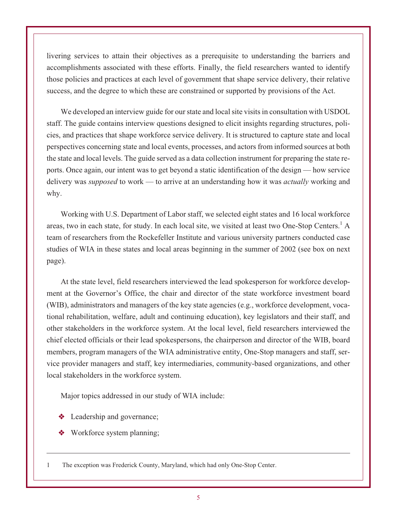livering services to attain their objectives as a prerequisite to understanding the barriers and accomplishments associated with these efforts. Finally, the field researchers wanted to identify those policies and practices at each level of government that shape service delivery, their relative success, and the degree to which these are constrained or supported by provisions of the Act.

We developed an interview guide for our state and local site visits in consultation with USDOL staff. The guide contains interview questions designed to elicit insights regarding structures, policies, and practices that shape workforce service delivery. It is structured to capture state and local perspectives concerning state and local events, processes, and actors from informed sources at both the state and local levels. The guide served as a data collection instrument for preparing the state reports. Once again, our intent was to get beyond a static identification of the design — how service delivery was *supposed* to work — to arrive at an understanding how it was *actually* working and why.

Working with U.S. Department of Labor staff, we selected eight states and 16 local workforce areas, two in each state, for study. In each local site, we visited at least two One-Stop Centers.<sup>1</sup> A team of researchers from the Rockefeller Institute and various university partners conducted case studies of WIA in these states and local areas beginning in the summer of 2002 (see box on next page).

At the state level, field researchers interviewed the lead spokesperson for workforce development at the Governor's Office, the chair and director of the state workforce investment board (WIB), administrators and managers of the key state agencies (e.g., workforce development, vocational rehabilitation, welfare, adult and continuing education), key legislators and their staff, and other stakeholders in the workforce system. At the local level, field researchers interviewed the chief elected officials or their lead spokespersons, the chairperson and director of the WIB, board members, program managers of the WIA administrative entity, One-Stop managers and staff, service provider managers and staff, key intermediaries, community-based organizations, and other local stakeholders in the workforce system.

Major topics addressed in our study of WIA include:

- **❖** Leadership and governance;
- **◆** Workforce system planning;

1 The exception was Frederick County, Maryland, which had only One-Stop Center.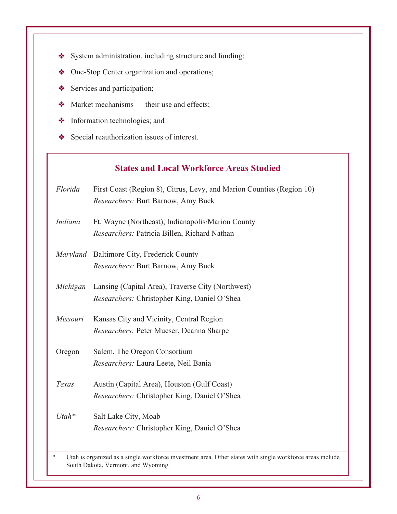- System administration, including structure and funding;
- One-Stop Center organization and operations;
- Services and participation;
- $\triangleleft$  Market mechanisms their use and effects;
- Information technologies; and
- ◆ Special reauthorization issues of interest.

#### **States and Local Workforce Areas Studied**

*Florida* First Coast (Region 8), Citrus, Levy, and Marion Counties (Region 10) *Researchers:* Burt Barnow, Amy Buck

- *Indiana* Ft. Wayne (Northeast), Indianapolis/Marion County *Researchers:* Patricia Billen, Richard Nathan
- *Maryland* Baltimore City, Frederick County *Researchers:* Burt Barnow, Amy Buck
- *Michigan* Lansing (Capital Area), Traverse City (Northwest) *Researchers:* Christopher King, Daniel O'Shea
- *Missouri* Kansas City and Vicinity, Central Region *Researchers:* Peter Mueser, Deanna Sharpe

Oregon Salem, The Oregon Consortium *Researchers:* Laura Leete, Neil Bania

- *Texas* Austin (Capital Area), Houston (Gulf Coast) *Researchers:* Christopher King, Daniel O'Shea
- *Utah\** Salt Lake City, Moab *Researchers:* Christopher King, Daniel O'Shea

Utah is organized as a single workforce investment area. Other states with single workforce areas include South Dakota, Vermont, and Wyoming.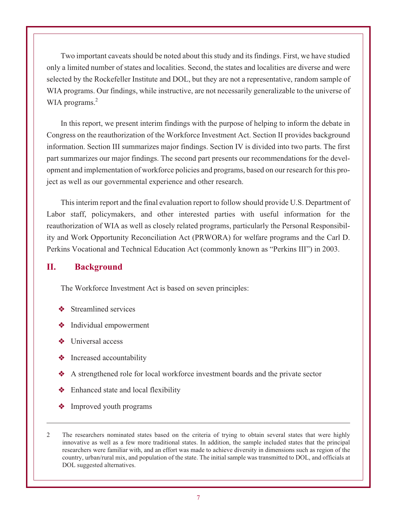Two important caveats should be noted about this study and its findings. First, we have studied only a limited number of states and localities. Second, the states and localities are diverse and were selected by the Rockefeller Institute and DOL, but they are not a representative, random sample of WIA programs. Our findings, while instructive, are not necessarily generalizable to the universe of WIA programs.<sup>2</sup>

In this report, we present interim findings with the purpose of helping to inform the debate in Congress on the reauthorization of the Workforce Investment Act. Section II provides background information. Section III summarizes major findings. Section IV is divided into two parts. The first part summarizes our major findings. The second part presents our recommendations for the development and implementation of workforce policies and programs, based on our research for this project as well as our governmental experience and other research.

This interim report and the final evaluation report to follow should provide U.S. Department of Labor staff, policymakers, and other interested parties with useful information for the reauthorization of WIA as well as closely related programs, particularly the Personal Responsibility and Work Opportunity Reconciliation Act (PRWORA) for welfare programs and the Carl D. Perkins Vocational and Technical Education Act (commonly known as "Perkins III") in 2003.

#### **II. Background**

The Workforce Investment Act is based on seven principles:

- **❖** Streamlined services
- Individual empowerment
- Universal access
- $\triangleleft$  Increased accountability
- A strengthened role for local workforce investment boards and the private sector
- $\triangleleft$  Enhanced state and local flexibility
- **❖** Improved youth programs
- 2 The researchers nominated states based on the criteria of trying to obtain several states that were highly innovative as well as a few more traditional states. In addition, the sample included states that the principal researchers were familiar with, and an effort was made to achieve diversity in dimensions such as region of the country, urban/rural mix, and population of the state. The initial sample was transmitted to DOL, and officials at DOL suggested alternatives.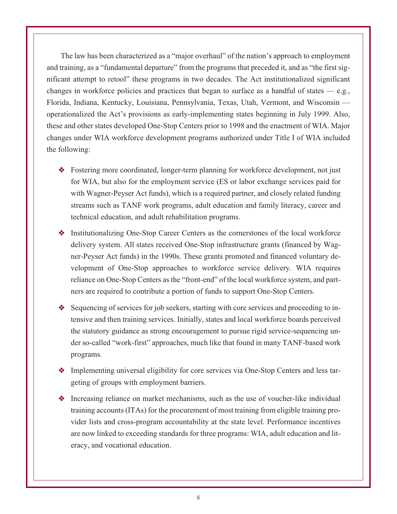The law has been characterized as a "major overhaul" of the nation's approach to employment and training, as a "fundamental departure" from the programs that preceded it, and as "the first significant attempt to retool" these programs in two decades. The Act institutionalized significant changes in workforce policies and practices that began to surface as a handful of states — e.g., Florida, Indiana, Kentucky, Louisiana, Pennsylvania, Texas, Utah, Vermont, and Wisconsin operationalized the Act's provisions as early-implementing states beginning in July 1999. Also, these and other states developed One-Stop Centers prior to 1998 and the enactment of WIA. Major changes under WIA workforce development programs authorized under Title I of WIA included the following:

- Fostering more coordinated, longer-term planning for workforce development, not just for WIA, but also for the employment service (ES or labor exchange services paid for with Wagner-Peyser Act funds), which is a required partner, and closely related funding streams such as TANF work programs, adult education and family literacy, career and technical education, and adult rehabilitation programs.
- Institutionalizing One-Stop Career Centers as the cornerstones of the local workforce delivery system. All states received One-Stop infrastructure grants (financed by Wagner-Peyser Act funds) in the 1990s. These grants promoted and financed voluntary development of One-Stop approaches to workforce service delivery. WIA requires reliance on One-Stop Centers as the "front-end" of the local workforce system, and partners are required to contribute a portion of funds to support One-Stop Centers.
- Sequencing of services for job seekers, starting with core services and proceeding to intensive and then training services. Initially, states and local workforce boards perceived the statutory guidance as strong encouragement to pursue rigid service-sequencing under so-called "work-first" approaches, much like that found in many TANF-based work programs.
- Implementing universal eligibility for core services via One-Stop Centers and less targeting of groups with employment barriers.
- Increasing reliance on market mechanisms, such as the use of voucher-like individual training accounts (ITAs) for the procurement of most training from eligible training provider lists and cross-program accountability at the state level. Performance incentives are now linked to exceeding standards for three programs: WIA, adult education and literacy, and vocational education.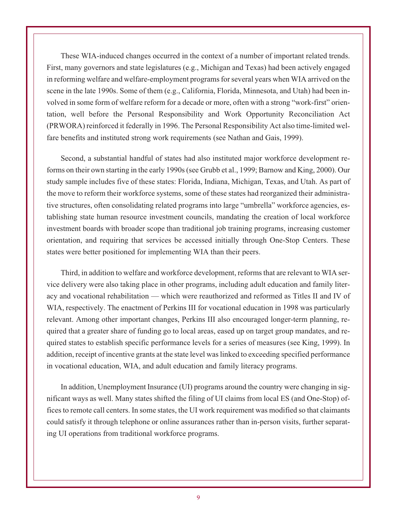These WIA-induced changes occurred in the context of a number of important related trends. First, many governors and state legislatures (e.g., Michigan and Texas) had been actively engaged in reforming welfare and welfare-employment programs for several years when WIA arrived on the scene in the late 1990s. Some of them (e.g., California, Florida, Minnesota, and Utah) had been involved in some form of welfare reform for a decade or more, often with a strong "work-first" orientation, well before the Personal Responsibility and Work Opportunity Reconciliation Act (PRWORA) reinforced it federally in 1996. The Personal Responsibility Act also time-limited welfare benefits and instituted strong work requirements (see Nathan and Gais, 1999).

Second, a substantial handful of states had also instituted major workforce development reforms on their own starting in the early 1990s (see Grubb et al., 1999; Barnow and King, 2000). Our study sample includes five of these states: Florida, Indiana, Michigan, Texas, and Utah. As part of the move to reform their workforce systems, some of these states had reorganized their administrative structures, often consolidating related programs into large "umbrella" workforce agencies, establishing state human resource investment councils, mandating the creation of local workforce investment boards with broader scope than traditional job training programs, increasing customer orientation, and requiring that services be accessed initially through One-Stop Centers. These states were better positioned for implementing WIA than their peers.

Third, in addition to welfare and workforce development, reforms that are relevant to WIA service delivery were also taking place in other programs, including adult education and family literacy and vocational rehabilitation — which were reauthorized and reformed as Titles II and IV of WIA, respectively. The enactment of Perkins III for vocational education in 1998 was particularly relevant. Among other important changes, Perkins III also encouraged longer-term planning, required that a greater share of funding go to local areas, eased up on target group mandates, and required states to establish specific performance levels for a series of measures (see King, 1999). In addition, receipt of incentive grants at the state level was linked to exceeding specified performance in vocational education, WIA, and adult education and family literacy programs.

In addition, Unemployment Insurance (UI) programs around the country were changing in significant ways as well. Many states shifted the filing of UI claims from local ES (and One-Stop) offices to remote call centers. In some states, the UI work requirement was modified so that claimants could satisfy it through telephone or online assurances rather than in-person visits, further separating UI operations from traditional workforce programs.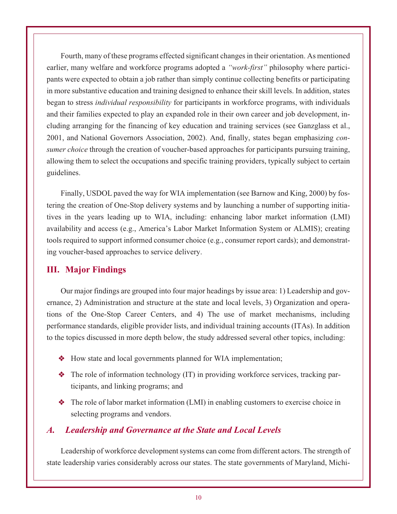Fourth, many of these programs effected significant changes in their orientation. As mentioned earlier, many welfare and workforce programs adopted a *"work-first"* philosophy where participants were expected to obtain a job rather than simply continue collecting benefits or participating in more substantive education and training designed to enhance their skill levels. In addition, states began to stress *individual responsibility* for participants in workforce programs, with individuals and their families expected to play an expanded role in their own career and job development, including arranging for the financing of key education and training services (see Ganzglass et al., 2001, and National Governors Association, 2002). And, finally, states began emphasizing *consumer choice* through the creation of voucher-based approaches for participants pursuing training, allowing them to select the occupations and specific training providers, typically subject to certain guidelines.

Finally, USDOL paved the way for WIA implementation (see Barnow and King, 2000) by fostering the creation of One-Stop delivery systems and by launching a number of supporting initiatives in the years leading up to WIA, including: enhancing labor market information (LMI) availability and access (e.g., America's Labor Market Information System or ALMIS); creating tools required to support informed consumer choice (e.g., consumer report cards); and demonstrating voucher-based approaches to service delivery.

#### **III. Major Findings**

Our major findings are grouped into four major headings by issue area: 1) Leadership and governance, 2) Administration and structure at the state and local levels, 3) Organization and operations of the One-Stop Career Centers, and 4) The use of market mechanisms, including performance standards, eligible provider lists, and individual training accounts (ITAs). In addition to the topics discussed in more depth below, the study addressed several other topics, including:

- How state and local governments planned for WIA implementation;
- The role of information technology (IT) in providing workforce services, tracking participants, and linking programs; and
- $\triangle$  The role of labor market information (LMI) in enabling customers to exercise choice in selecting programs and vendors.

#### *A. Leadership and Governance at the State and Local Levels*

Leadership of workforce development systems can come from different actors. The strength of state leadership varies considerably across our states. The state governments of Maryland, Michi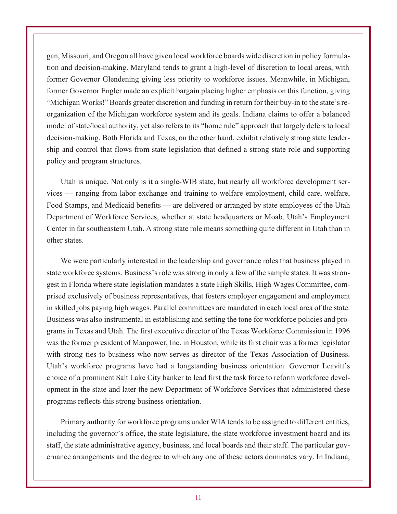gan, Missouri, and Oregon all have given local workforce boards wide discretion in policy formulation and decision-making. Maryland tends to grant a high-level of discretion to local areas, with former Governor Glendening giving less priority to workforce issues. Meanwhile, in Michigan, former Governor Engler made an explicit bargain placing higher emphasis on this function, giving "Michigan Works!" Boards greater discretion and funding in return for their buy-in to the state's reorganization of the Michigan workforce system and its goals. Indiana claims to offer a balanced model of state/local authority, yet also refers to its "home rule" approach that largely defers to local decision-making. Both Florida and Texas, on the other hand, exhibit relatively strong state leadership and control that flows from state legislation that defined a strong state role and supporting policy and program structures.

Utah is unique. Not only is it a single-WIB state, but nearly all workforce development services — ranging from labor exchange and training to welfare employment, child care, welfare, Food Stamps, and Medicaid benefits — are delivered or arranged by state employees of the Utah Department of Workforce Services, whether at state headquarters or Moab, Utah's Employment Center in far southeastern Utah. A strong state role means something quite different in Utah than in other states.

We were particularly interested in the leadership and governance roles that business played in state workforce systems. Business's role was strong in only a few of the sample states. It was strongest in Florida where state legislation mandates a state High Skills, High Wages Committee, comprised exclusively of business representatives, that fosters employer engagement and employment in skilled jobs paying high wages. Parallel committees are mandated in each local area of the state. Business was also instrumental in establishing and setting the tone for workforce policies and programs in Texas and Utah. The first executive director of the Texas Workforce Commission in 1996 was the former president of Manpower, Inc. in Houston, while its first chair was a former legislator with strong ties to business who now serves as director of the Texas Association of Business. Utah's workforce programs have had a longstanding business orientation. Governor Leavitt's choice of a prominent Salt Lake City banker to lead first the task force to reform workforce development in the state and later the new Department of Workforce Services that administered these programs reflects this strong business orientation.

Primary authority for workforce programs under WIA tends to be assigned to different entities, including the governor's office, the state legislature, the state workforce investment board and its staff, the state administrative agency, business, and local boards and their staff. The particular governance arrangements and the degree to which any one of these actors dominates vary. In Indiana,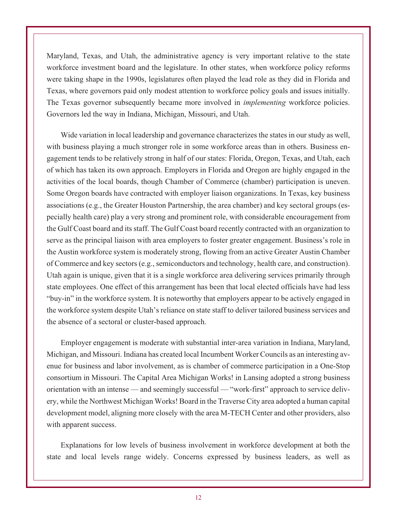Maryland, Texas, and Utah, the administrative agency is very important relative to the state workforce investment board and the legislature. In other states, when workforce policy reforms were taking shape in the 1990s, legislatures often played the lead role as they did in Florida and Texas, where governors paid only modest attention to workforce policy goals and issues initially. The Texas governor subsequently became more involved in *implementing* workforce policies. Governors led the way in Indiana, Michigan, Missouri, and Utah.

Wide variation in local leadership and governance characterizes the states in our study as well, with business playing a much stronger role in some workforce areas than in others. Business engagement tends to be relatively strong in half of our states: Florida, Oregon, Texas, and Utah, each of which has taken its own approach. Employers in Florida and Oregon are highly engaged in the activities of the local boards, though Chamber of Commerce (chamber) participation is uneven. Some Oregon boards have contracted with employer liaison organizations. In Texas, key business associations (e.g., the Greater Houston Partnership, the area chamber) and key sectoral groups (especially health care) play a very strong and prominent role, with considerable encouragement from the Gulf Coast board and its staff. The Gulf Coast board recently contracted with an organization to serve as the principal liaison with area employers to foster greater engagement. Business's role in the Austin workforce system is moderately strong, flowing from an active Greater Austin Chamber of Commerce and key sectors (e.g., semiconductors and technology, health care, and construction). Utah again is unique, given that it is a single workforce area delivering services primarily through state employees. One effect of this arrangement has been that local elected officials have had less "buy-in" in the workforce system. It is noteworthy that employers appear to be actively engaged in the workforce system despite Utah's reliance on state staff to deliver tailored business services and the absence of a sectoral or cluster-based approach.

Employer engagement is moderate with substantial inter-area variation in Indiana, Maryland, Michigan, and Missouri. Indiana has created local Incumbent Worker Councils as an interesting avenue for business and labor involvement, as is chamber of commerce participation in a One-Stop consortium in Missouri. The Capital Area Michigan Works! in Lansing adopted a strong business orientation with an intense — and seemingly successful — "work-first" approach to service delivery, while the Northwest Michigan Works! Board in the Traverse City area adopted a human capital development model, aligning more closely with the area M-TECH Center and other providers, also with apparent success.

Explanations for low levels of business involvement in workforce development at both the state and local levels range widely. Concerns expressed by business leaders, as well as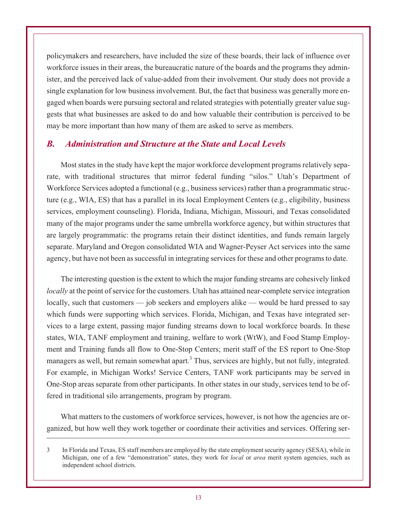policymakers and researchers, have included the size of these boards, their lack of influence over workforce issues in their areas, the bureaucratic nature of the boards and the programs they administer, and the perceived lack of value-added from their involvement. Our study does not provide a single explanation for low business involvement. But, the fact that business was generally more engaged when boards were pursuing sectoral and related strategies with potentially greater value suggests that what businesses are asked to do and how valuable their contribution is perceived to be may be more important than how many of them are asked to serve as members.

#### *B. Administration and Structure at the State and Local Levels*

Most states in the study have kept the major workforce development programs relatively separate, with traditional structures that mirror federal funding "silos." Utah's Department of Workforce Services adopted a functional (e.g., business services) rather than a programmatic structure (e.g., WIA, ES) that has a parallel in its local Employment Centers (e.g., eligibility, business services, employment counseling). Florida, Indiana, Michigan, Missouri, and Texas consolidated many of the major programs under the same umbrella workforce agency, but within structures that are largely programmatic: the programs retain their distinct identities, and funds remain largely separate. Maryland and Oregon consolidated WIA and Wagner-Peyser Act services into the same agency, but have not been as successful in integrating services for these and other programs to date.

The interesting question is the extent to which the major funding streams are cohesively linked *locally* at the point of service for the customers. Utah has attained near-complete service integration locally, such that customers — job seekers and employers alike — would be hard pressed to say which funds were supporting which services. Florida, Michigan, and Texas have integrated services to a large extent, passing major funding streams down to local workforce boards. In these states, WIA, TANF employment and training, welfare to work (WtW), and Food Stamp Employment and Training funds all flow to One-Stop Centers; merit staff of the ES report to One-Stop managers as well, but remain somewhat apart.<sup>3</sup> Thus, services are highly, but not fully, integrated. For example, in Michigan Works! Service Centers, TANF work participants may be served in One-Stop areas separate from other participants. In other states in our study, services tend to be offered in traditional silo arrangements, program by program.

What matters to the customers of workforce services, however, is not how the agencies are organized, but how well they work together or coordinate their activities and services. Offering ser-

<sup>3</sup> In Florida and Texas, ES staff members are employed by the state employment security agency (SESA), while in Michigan, one of a few "demonstration" states, they work for *local* or *area* merit system agencies, such as independent school districts.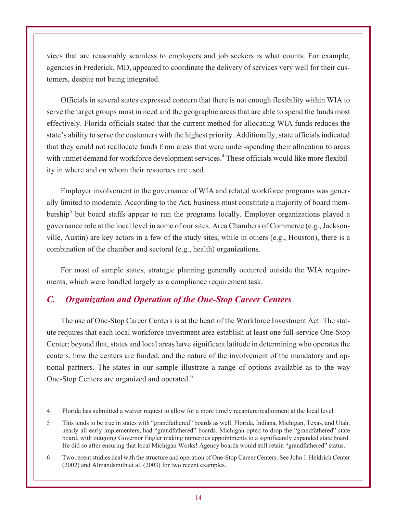vices that are reasonably seamless to employers and job seekers is what counts. For example, agencies in Frederick, MD, appeared to coordinate the delivery of services very well for their customers, despite not being integrated.

Officials in several states expressed concern that there is not enough flexibility within WIA to serve the target groups most in need and the geographic areas that are able to spend the funds most effectively. Florida officials stated that the current method for allocating WIA funds reduces the state's ability to serve the customers with the highest priority. Additionally, state officials indicated that they could not reallocate funds from areas that were under-spending their allocation to areas with unmet demand for workforce development services.<sup>4</sup> These officials would like more flexibility in where and on whom their resources are used.

Employer involvement in the governance of WIA and related workforce programs was generally limited to moderate. According to the Act, business must constitute a majority of board membership<sup>5</sup> but board staffs appear to run the programs locally. Employer organizations played a governance role at the local level in some of our sites. Area Chambers of Commerce (e.g., Jacksonville, Austin) are key actors in a few of the study sites, while in others (e.g., Houston), there is a combination of the chamber and sectoral (e.g., health) organizations.

For most of sample states, strategic planning generally occurred outside the WIA requirements, which were handled largely as a compliance requirement task.

#### *C. Organization and Operation of the One-Stop Career Centers*

The use of One-Stop Career Centers is at the heart of the Workforce Investment Act. The statute requires that each local workforce investment area establish at least one full-service One-Stop Center; beyond that, states and local areas have significant latitude in determining who operates the centers, how the centers are funded, and the nature of the involvement of the mandatory and optional partners. The states in our sample illustrate a range of options available as to the way One-Stop Centers are organized and operated.<sup>6</sup>

<sup>4</sup> Florida has submitted a waiver request to allow for a more timely recapture/reallotment at the local level.

<sup>5</sup> This tends to be true in states with "grandfathered" boards as well. Florida, Indiana, Michigan, Texas, and Utah, nearly all early implementers, had "grandfathered" boards. Michigan opted to drop the "grandfathered" state board, with outgoing Governor Engler making numerous appointments to a significantly expanded state board. He did so after ensuring that local Michigan Works! Agency boards would still retain "grandfathered" status.

<sup>6</sup> Two recent studies deal with the structure and operation of One-Stop Career Centers. See John J. Heldrich Center (2002) and Almandsmith et al. (2003) for two recent examples.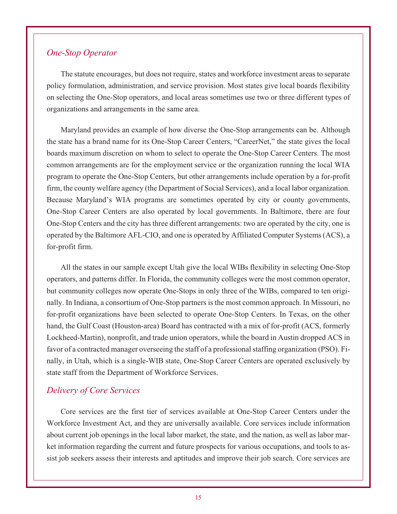#### *One-Stop Operator*

The statute encourages, but does not require, states and workforce investment areas to separate policy formulation, administration, and service provision. Most states give local boards flexibility on selecting the One-Stop operators, and local areas sometimes use two or three different types of organizations and arrangements in the same area.

Maryland provides an example of how diverse the One-Stop arrangements can be. Although the state has a brand name for its One-Stop Career Centers, "CareerNet," the state gives the local boards maximum discretion on whom to select to operate the One-Stop Career Centers. The most common arrangements are for the employment service or the organization running the local WIA program to operate the One-Stop Centers, but other arrangements include operation by a for-profit firm, the county welfare agency (the Department of Social Services), and a local labor organization. Because Maryland's WIA programs are sometimes operated by city or county governments, One-Stop Career Centers are also operated by local governments. In Baltimore, there are four One-Stop Centers and the city has three different arrangements: two are operated by the city, one is operated by the Baltimore AFL-CIO, and one is operated by Affiliated Computer Systems (ACS), a for-profit firm.

All the states in our sample except Utah give the local WIBs flexibility in selecting One-Stop operators, and patterns differ. In Florida, the community colleges were the most common operator, but community colleges now operate One-Stops in only three of the WIBs, compared to ten originally. In Indiana, a consortium of One-Stop partners is the most common approach. In Missouri, no for-profit organizations have been selected to operate One-Stop Centers. In Texas, on the other hand, the Gulf Coast (Houston-area) Board has contracted with a mix of for-profit (ACS, formerly Lockheed-Martin), nonprofit, and trade union operators, while the board in Austin dropped ACS in favor of a contracted manager overseeing the staff of a professional staffing organization (PSO). Finally, in Utah, which is a single-WIB state, One-Stop Career Centers are operated exclusively by state staff from the Department of Workforce Services.

#### *Delivery of Core Services*

Core services are the first tier of services available at One-Stop Career Centers under the Workforce Investment Act, and they are universally available. Core services include information about current job openings in the local labor market, the state, and the nation, as well as labor market information regarding the current and future prospects for various occupations, and tools to assist job seekers assess their interests and aptitudes and improve their job search. Core services are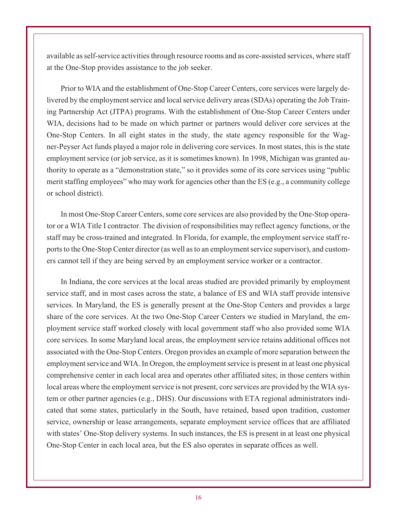available as self-service activities through resource rooms and as core-assisted services, where staff at the One-Stop provides assistance to the job seeker.

Prior to WIA and the establishment of One-Stop Career Centers, core services were largely delivered by the employment service and local service delivery areas (SDAs) operating the Job Training Partnership Act (JTPA) programs. With the establishment of One-Stop Career Centers under WIA, decisions had to be made on which partner or partners would deliver core services at the One-Stop Centers. In all eight states in the study, the state agency responsible for the Wagner-Peyser Act funds played a major role in delivering core services. In most states, this is the state employment service (or job service, as it is sometimes known). In 1998, Michigan was granted authority to operate as a "demonstration state," so it provides some of its core services using "public merit staffing employees" who may work for agencies other than the ES (e.g., a community college or school district).

In most One-Stop Career Centers, some core services are also provided by the One-Stop operator or a WIA Title I contractor. The division of responsibilities may reflect agency functions, or the staff may be cross-trained and integrated. In Florida, for example, the employment service staff reports to the One-Stop Center director (as well as to an employment service supervisor), and customers cannot tell if they are being served by an employment service worker or a contractor.

In Indiana, the core services at the local areas studied are provided primarily by employment service staff, and in most cases across the state, a balance of ES and WIA staff provide intensive services. In Maryland, the ES is generally present at the One-Stop Centers and provides a large share of the core services. At the two One-Stop Career Centers we studied in Maryland, the employment service staff worked closely with local government staff who also provided some WIA core services. In some Maryland local areas, the employment service retains additional offices not associated with the One-Stop Centers. Oregon provides an example of more separation between the employment service and WIA. In Oregon, the employment service is present in at least one physical comprehensive center in each local area and operates other affiliated sites; in those centers within local areas where the employment service is not present, core services are provided by the WIA system or other partner agencies (e.g., DHS). Our discussions with ETA regional administrators indicated that some states, particularly in the South, have retained, based upon tradition, customer service, ownership or lease arrangements, separate employment service offices that are affiliated with states' One-Stop delivery systems. In such instances, the ES is present in at least one physical One-Stop Center in each local area, but the ES also operates in separate offices as well.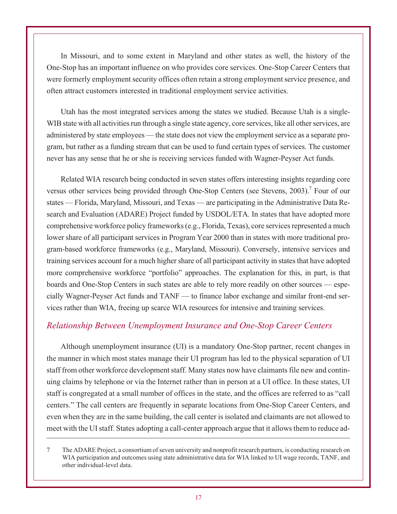In Missouri, and to some extent in Maryland and other states as well, the history of the One-Stop has an important influence on who provides core services. One-Stop Career Centers that were formerly employment security offices often retain a strong employment service presence, and often attract customers interested in traditional employment service activities.

Utah has the most integrated services among the states we studied. Because Utah is a single-WIB state with all activities run through a single state agency, core services, like all other services, are administered by state employees — the state does not view the employment service as a separate program, but rather as a funding stream that can be used to fund certain types of services. The customer never has any sense that he or she is receiving services funded with Wagner-Peyser Act funds.

Related WIA research being conducted in seven states offers interesting insights regarding core versus other services being provided through One-Stop Centers (see Stevens, 2003).<sup>7</sup> Four of our states — Florida, Maryland, Missouri, and Texas — are participating in the Administrative Data Research and Evaluation (ADARE) Project funded by USDOL/ETA. In states that have adopted more comprehensive workforce policy frameworks (e.g., Florida, Texas), core services represented a much lower share of all participant services in Program Year 2000 than in states with more traditional program-based workforce frameworks (e.g., Maryland, Missouri). Conversely, intensive services and training services account for a much higher share of all participant activity in states that have adopted more comprehensive workforce "portfolio" approaches. The explanation for this, in part, is that boards and One-Stop Centers in such states are able to rely more readily on other sources — especially Wagner-Peyser Act funds and TANF — to finance labor exchange and similar front-end services rather than WIA, freeing up scarce WIA resources for intensive and training services.

#### *Relationship Between Unemployment Insurance and One-Stop Career Centers*

Although unemployment insurance (UI) is a mandatory One-Stop partner, recent changes in the manner in which most states manage their UI program has led to the physical separation of UI staff from other workforce development staff. Many states now have claimants file new and continuing claims by telephone or via the Internet rather than in person at a UI office. In these states, UI staff is congregated at a small number of offices in the state, and the offices are referred to as "call centers." The call centers are frequently in separate locations from One-Stop Career Centers, and even when they are in the same building, the call center is isolated and claimants are not allowed to meet with the UI staff. States adopting a call-center approach argue that it allows them to reduce ad-

<sup>7</sup> The ADARE Project, a consortium of seven university and nonprofit research partners, is conducting research on WIA participation and outcomes using state administrative data for WIA linked to UI wage records, TANF, and other individual-level data.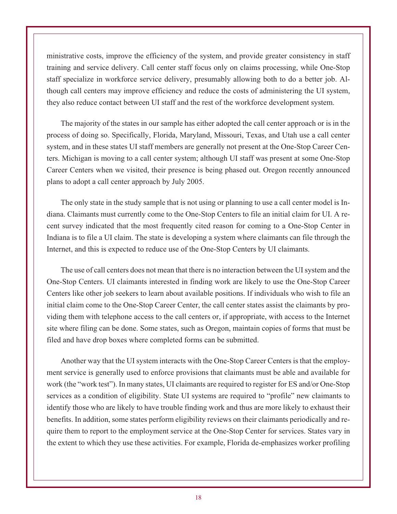ministrative costs, improve the efficiency of the system, and provide greater consistency in staff training and service delivery. Call center staff focus only on claims processing, while One-Stop staff specialize in workforce service delivery, presumably allowing both to do a better job. Although call centers may improve efficiency and reduce the costs of administering the UI system, they also reduce contact between UI staff and the rest of the workforce development system.

The majority of the states in our sample has either adopted the call center approach or is in the process of doing so. Specifically, Florida, Maryland, Missouri, Texas, and Utah use a call center system, and in these states UI staff members are generally not present at the One-Stop Career Centers. Michigan is moving to a call center system; although UI staff was present at some One-Stop Career Centers when we visited, their presence is being phased out. Oregon recently announced plans to adopt a call center approach by July 2005.

The only state in the study sample that is not using or planning to use a call center model is Indiana. Claimants must currently come to the One-Stop Centers to file an initial claim for UI. A recent survey indicated that the most frequently cited reason for coming to a One-Stop Center in Indiana is to file a UI claim. The state is developing a system where claimants can file through the Internet, and this is expected to reduce use of the One-Stop Centers by UI claimants.

The use of call centers does not mean that there is no interaction between the UI system and the One-Stop Centers. UI claimants interested in finding work are likely to use the One-Stop Career Centers like other job seekers to learn about available positions. If individuals who wish to file an initial claim come to the One-Stop Career Center, the call center states assist the claimants by providing them with telephone access to the call centers or, if appropriate, with access to the Internet site where filing can be done. Some states, such as Oregon, maintain copies of forms that must be filed and have drop boxes where completed forms can be submitted.

Another way that the UI system interacts with the One-Stop Career Centers is that the employment service is generally used to enforce provisions that claimants must be able and available for work (the "work test"). In many states, UI claimants are required to register for ES and/or One-Stop services as a condition of eligibility. State UI systems are required to "profile" new claimants to identify those who are likely to have trouble finding work and thus are more likely to exhaust their benefits. In addition, some states perform eligibility reviews on their claimants periodically and require them to report to the employment service at the One-Stop Center for services. States vary in the extent to which they use these activities. For example, Florida de-emphasizes worker profiling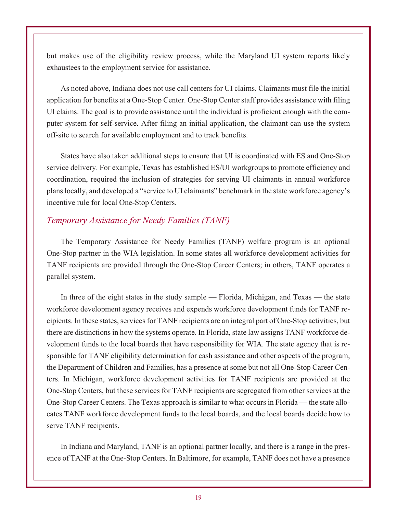but makes use of the eligibility review process, while the Maryland UI system reports likely exhaustees to the employment service for assistance.

As noted above, Indiana does not use call centers for UI claims. Claimants must file the initial application for benefits at a One-Stop Center. One-Stop Center staff provides assistance with filing UI claims. The goal is to provide assistance until the individual is proficient enough with the computer system for self-service. After filing an initial application, the claimant can use the system off-site to search for available employment and to track benefits.

States have also taken additional steps to ensure that UI is coordinated with ES and One-Stop service delivery. For example, Texas has established ES/UI workgroups to promote efficiency and coordination, required the inclusion of strategies for serving UI claimants in annual workforce plans locally, and developed a "service to UI claimants" benchmark in the state workforce agency's incentive rule for local One-Stop Centers.

#### *Temporary Assistance for Needy Families (TANF)*

The Temporary Assistance for Needy Families (TANF) welfare program is an optional One-Stop partner in the WIA legislation. In some states all workforce development activities for TANF recipients are provided through the One-Stop Career Centers; in others, TANF operates a parallel system.

In three of the eight states in the study sample — Florida, Michigan, and Texas — the state workforce development agency receives and expends workforce development funds for TANF recipients. In these states, services for TANF recipients are an integral part of One-Stop activities, but there are distinctions in how the systems operate. In Florida, state law assigns TANF workforce development funds to the local boards that have responsibility for WIA. The state agency that is responsible for TANF eligibility determination for cash assistance and other aspects of the program, the Department of Children and Families, has a presence at some but not all One-Stop Career Centers. In Michigan, workforce development activities for TANF recipients are provided at the One-Stop Centers, but these services for TANF recipients are segregated from other services at the One-Stop Career Centers. The Texas approach is similar to what occurs in Florida — the state allocates TANF workforce development funds to the local boards, and the local boards decide how to serve TANF recipients.

In Indiana and Maryland, TANF is an optional partner locally, and there is a range in the presence of TANF at the One-Stop Centers. In Baltimore, for example, TANF does not have a presence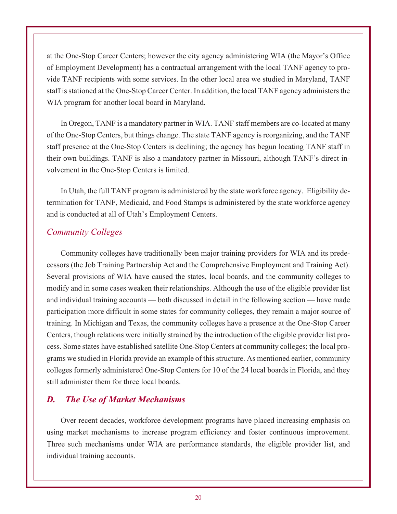at the One-Stop Career Centers; however the city agency administering WIA (the Mayor's Office of Employment Development) has a contractual arrangement with the local TANF agency to provide TANF recipients with some services. In the other local area we studied in Maryland, TANF staff is stationed at the One-Stop Career Center. In addition, the local TANF agency administers the WIA program for another local board in Maryland.

In Oregon, TANF is a mandatory partner in WIA. TANF staff members are co-located at many of the One-Stop Centers, but things change. The state TANF agency is reorganizing, and the TANF staff presence at the One-Stop Centers is declining; the agency has begun locating TANF staff in their own buildings. TANF is also a mandatory partner in Missouri, although TANF's direct involvement in the One-Stop Centers is limited.

In Utah, the full TANF program is administered by the state workforce agency. Eligibility determination for TANF, Medicaid, and Food Stamps is administered by the state workforce agency and is conducted at all of Utah's Employment Centers.

#### *Community Colleges*

Community colleges have traditionally been major training providers for WIA and its predecessors (the Job Training Partnership Act and the Comprehensive Employment and Training Act). Several provisions of WIA have caused the states, local boards, and the community colleges to modify and in some cases weaken their relationships. Although the use of the eligible provider list and individual training accounts — both discussed in detail in the following section — have made participation more difficult in some states for community colleges, they remain a major source of training. In Michigan and Texas, the community colleges have a presence at the One-Stop Career Centers, though relations were initially strained by the introduction of the eligible provider list process. Some states have established satellite One-Stop Centers at community colleges; the local programs we studied in Florida provide an example of this structure. As mentioned earlier, community colleges formerly administered One-Stop Centers for 10 of the 24 local boards in Florida, and they still administer them for three local boards.

#### *D. The Use of Market Mechanisms*

Over recent decades, workforce development programs have placed increasing emphasis on using market mechanisms to increase program efficiency and foster continuous improvement. Three such mechanisms under WIA are performance standards, the eligible provider list, and individual training accounts.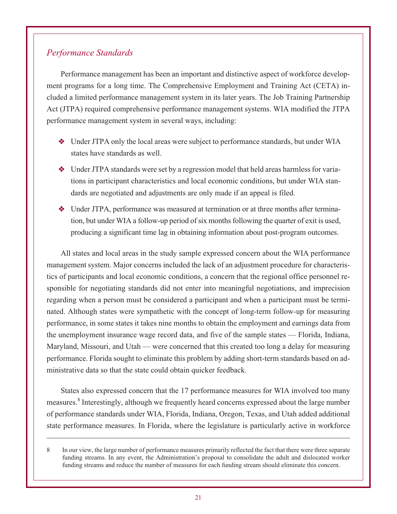#### *Performance Standards*

Performance management has been an important and distinctive aspect of workforce development programs for a long time. The Comprehensive Employment and Training Act (CETA) included a limited performance management system in its later years. The Job Training Partnership Act (JTPA) required comprehensive performance management systems. WIA modified the JTPA performance management system in several ways, including:

- Under JTPA only the local areas were subject to performance standards, but under WIA states have standards as well.
- Under JTPA standards were set by a regression model that held areas harmless for variations in participant characteristics and local economic conditions, but under WIA standards are negotiated and adjustments are only made if an appeal is filed.
- Under JTPA, performance was measured at termination or at three months after termination, but under WIA a follow-up period of six months following the quarter of exit is used, producing a significant time lag in obtaining information about post-program outcomes.

All states and local areas in the study sample expressed concern about the WIA performance management system. Major concerns included the lack of an adjustment procedure for characteristics of participants and local economic conditions, a concern that the regional office personnel responsible for negotiating standards did not enter into meaningful negotiations, and imprecision regarding when a person must be considered a participant and when a participant must be terminated. Although states were sympathetic with the concept of long-term follow-up for measuring performance, in some states it takes nine months to obtain the employment and earnings data from the unemployment insurance wage record data, and five of the sample states — Florida, Indiana, Maryland, Missouri, and Utah — were concerned that this created too long a delay for measuring performance. Florida sought to eliminate this problem by adding short-term standards based on administrative data so that the state could obtain quicker feedback.

States also expressed concern that the 17 performance measures for WIA involved too many measures.<sup>8</sup> Interestingly, although we frequently heard concerns expressed about the large number of performance standards under WIA, Florida, Indiana, Oregon, Texas, and Utah added additional state performance measures. In Florida, where the legislature is particularly active in workforce

<sup>8</sup> In our view, the large number of performance measures primarily reflected the fact that there were three separate funding streams. In any event, the Administration's proposal to consolidate the adult and dislocated worker funding streams and reduce the number of measures for each funding stream should eliminate this concern.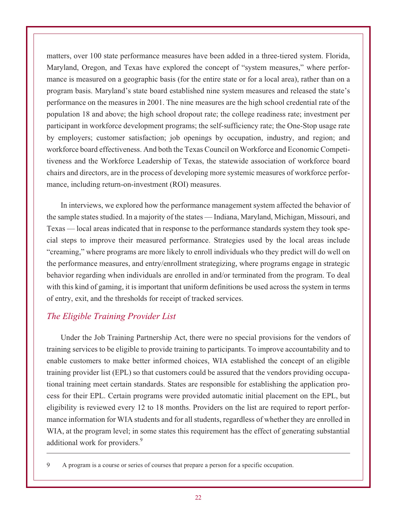matters, over 100 state performance measures have been added in a three-tiered system. Florida, Maryland, Oregon, and Texas have explored the concept of "system measures," where performance is measured on a geographic basis (for the entire state or for a local area), rather than on a program basis. Maryland's state board established nine system measures and released the state's performance on the measures in 2001. The nine measures are the high school credential rate of the population 18 and above; the high school dropout rate; the college readiness rate; investment per participant in workforce development programs; the self-sufficiency rate; the One-Stop usage rate by employers; customer satisfaction; job openings by occupation, industry, and region; and workforce board effectiveness. And both the Texas Council on Workforce and Economic Competitiveness and the Workforce Leadership of Texas, the statewide association of workforce board chairs and directors, are in the process of developing more systemic measures of workforce performance, including return-on-investment (ROI) measures.

In interviews, we explored how the performance management system affected the behavior of the sample states studied. In a majority of the states — Indiana, Maryland, Michigan, Missouri, and Texas — local areas indicated that in response to the performance standards system they took special steps to improve their measured performance. Strategies used by the local areas include "creaming," where programs are more likely to enroll individuals who they predict will do well on the performance measures, and entry/enrollment strategizing, where programs engage in strategic behavior regarding when individuals are enrolled in and/or terminated from the program. To deal with this kind of gaming, it is important that uniform definitions be used across the system in terms of entry, exit, and the thresholds for receipt of tracked services.

#### *The Eligible Training Provider List*

Under the Job Training Partnership Act, there were no special provisions for the vendors of training services to be eligible to provide training to participants. To improve accountability and to enable customers to make better informed choices, WIA established the concept of an eligible training provider list (EPL) so that customers could be assured that the vendors providing occupational training meet certain standards. States are responsible for establishing the application process for their EPL. Certain programs were provided automatic initial placement on the EPL, but eligibility is reviewed every 12 to 18 months. Providers on the list are required to report performance information for WIA students and for all students, regardless of whether they are enrolled in WIA, at the program level; in some states this requirement has the effect of generating substantial additional work for providers.<sup>9</sup>

<sup>9</sup> A program is a course or series of courses that prepare a person for a specific occupation.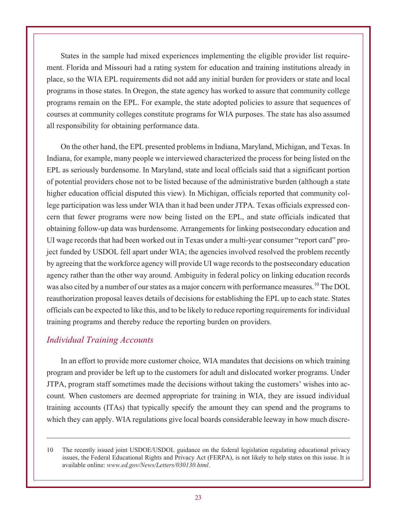States in the sample had mixed experiences implementing the eligible provider list requirement. Florida and Missouri had a rating system for education and training institutions already in place, so the WIA EPL requirements did not add any initial burden for providers or state and local programs in those states. In Oregon, the state agency has worked to assure that community college programs remain on the EPL. For example, the state adopted policies to assure that sequences of courses at community colleges constitute programs for WIA purposes. The state has also assumed all responsibility for obtaining performance data.

On the other hand, the EPL presented problems in Indiana, Maryland, Michigan, and Texas. In Indiana, for example, many people we interviewed characterized the process for being listed on the EPL as seriously burdensome. In Maryland, state and local officials said that a significant portion of potential providers chose not to be listed because of the administrative burden (although a state higher education official disputed this view). In Michigan, officials reported that community college participation was less under WIA than it had been under JTPA. Texas officials expressed concern that fewer programs were now being listed on the EPL, and state officials indicated that obtaining follow-up data was burdensome. Arrangements for linking postsecondary education and UI wage records that had been worked out in Texas under a multi-year consumer "report card" project funded by USDOL fell apart under WIA; the agencies involved resolved the problem recently by agreeing that the workforce agency will provide UI wage records to the postsecondary education agency rather than the other way around. Ambiguity in federal policy on linking education records was also cited by a number of our states as a major concern with performance measures.<sup>10</sup> The DOL reauthorization proposal leaves details of decisions for establishing the EPL up to each state. States officials can be expected to like this, and to be likely to reduce reporting requirements for individual training programs and thereby reduce the reporting burden on providers.

#### *Individual Training Accounts*

In an effort to provide more customer choice, WIA mandates that decisions on which training program and provider be left up to the customers for adult and dislocated worker programs. Under JTPA, program staff sometimes made the decisions without taking the customers' wishes into account. When customers are deemed appropriate for training in WIA, they are issued individual training accounts (ITAs) that typically specify the amount they can spend and the programs to which they can apply. WIA regulations give local boards considerable leeway in how much discre-

<sup>10</sup> The recently issued joint USDOE/USDOL guidance on the federal legislation regulating educational privacy issues, the Federal Educational Rights and Privacy Act (FERPA), is not likely to help states on this issue. It is available online: *www.ed.gov/News/Letters/030130.html*.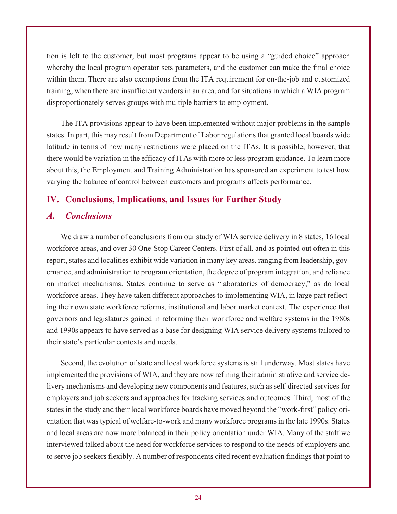tion is left to the customer, but most programs appear to be using a "guided choice" approach whereby the local program operator sets parameters, and the customer can make the final choice within them. There are also exemptions from the ITA requirement for on-the-job and customized training, when there are insufficient vendors in an area, and for situations in which a WIA program disproportionately serves groups with multiple barriers to employment.

The ITA provisions appear to have been implemented without major problems in the sample states. In part, this may result from Department of Labor regulations that granted local boards wide latitude in terms of how many restrictions were placed on the ITAs. It is possible, however, that there would be variation in the efficacy of ITAs with more or less program guidance. To learn more about this, the Employment and Training Administration has sponsored an experiment to test how varying the balance of control between customers and programs affects performance.

#### **IV. Conclusions, Implications, and Issues for Further Study**

#### *A. Conclusions*

We draw a number of conclusions from our study of WIA service delivery in 8 states, 16 local workforce areas, and over 30 One-Stop Career Centers. First of all, and as pointed out often in this report, states and localities exhibit wide variation in many key areas, ranging from leadership, governance, and administration to program orientation, the degree of program integration, and reliance on market mechanisms. States continue to serve as "laboratories of democracy," as do local workforce areas. They have taken different approaches to implementing WIA, in large part reflecting their own state workforce reforms, institutional and labor market context. The experience that governors and legislatures gained in reforming their workforce and welfare systems in the 1980s and 1990s appears to have served as a base for designing WIA service delivery systems tailored to their state's particular contexts and needs.

Second, the evolution of state and local workforce systems is still underway. Most states have implemented the provisions of WIA, and they are now refining their administrative and service delivery mechanisms and developing new components and features, such as self-directed services for employers and job seekers and approaches for tracking services and outcomes. Third, most of the states in the study and their local workforce boards have moved beyond the "work-first" policy orientation that was typical of welfare-to-work and many workforce programs in the late 1990s. States and local areas are now more balanced in their policy orientation under WIA. Many of the staff we interviewed talked about the need for workforce services to respond to the needs of employers and to serve job seekers flexibly. A number of respondents cited recent evaluation findings that point to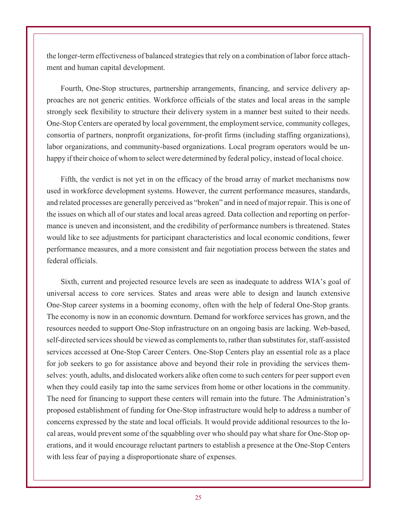the longer-term effectiveness of balanced strategies that rely on a combination of labor force attachment and human capital development.

Fourth, One-Stop structures, partnership arrangements, financing, and service delivery approaches are not generic entities. Workforce officials of the states and local areas in the sample strongly seek flexibility to structure their delivery system in a manner best suited to their needs. One-Stop Centers are operated by local government, the employment service, community colleges, consortia of partners, nonprofit organizations, for-profit firms (including staffing organizations), labor organizations, and community-based organizations. Local program operators would be unhappy if their choice of whom to select were determined by federal policy, instead of local choice.

Fifth, the verdict is not yet in on the efficacy of the broad array of market mechanisms now used in workforce development systems. However, the current performance measures, standards, and related processes are generally perceived as "broken" and in need of major repair. This is one of the issues on which all of our states and local areas agreed. Data collection and reporting on performance is uneven and inconsistent, and the credibility of performance numbers is threatened. States would like to see adjustments for participant characteristics and local economic conditions, fewer performance measures, and a more consistent and fair negotiation process between the states and federal officials.

Sixth, current and projected resource levels are seen as inadequate to address WIA's goal of universal access to core services. States and areas were able to design and launch extensive One-Stop career systems in a booming economy, often with the help of federal One-Stop grants. The economy is now in an economic downturn. Demand for workforce services has grown, and the resources needed to support One-Stop infrastructure on an ongoing basis are lacking. Web-based, self-directed services should be viewed as complements to, rather than substitutes for, staff-assisted services accessed at One-Stop Career Centers. One-Stop Centers play an essential role as a place for job seekers to go for assistance above and beyond their role in providing the services themselves: youth, adults, and dislocated workers alike often come to such centers for peer support even when they could easily tap into the same services from home or other locations in the community. The need for financing to support these centers will remain into the future. The Administration's proposed establishment of funding for One-Stop infrastructure would help to address a number of concerns expressed by the state and local officials. It would provide additional resources to the local areas, would prevent some of the squabbling over who should pay what share for One-Stop operations, and it would encourage reluctant partners to establish a presence at the One-Stop Centers with less fear of paying a disproportionate share of expenses.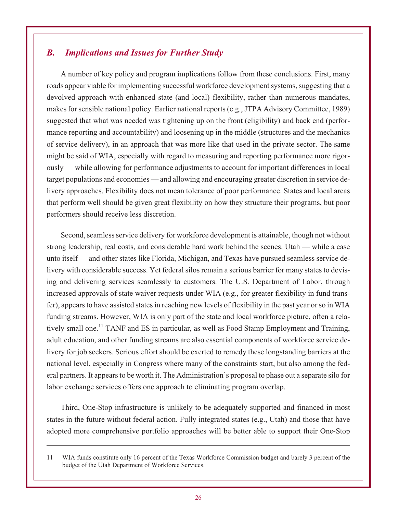#### *B. Implications and Issues for Further Study*

A number of key policy and program implications follow from these conclusions. First, many roads appear viable for implementing successful workforce development systems, suggesting that a devolved approach with enhanced state (and local) flexibility, rather than numerous mandates, makes for sensible national policy. Earlier national reports (e.g., JTPA Advisory Committee, 1989) suggested that what was needed was tightening up on the front (eligibility) and back end (performance reporting and accountability) and loosening up in the middle (structures and the mechanics of service delivery), in an approach that was more like that used in the private sector. The same might be said of WIA, especially with regard to measuring and reporting performance more rigorously — while allowing for performance adjustments to account for important differences in local target populations and economies — and allowing and encouraging greater discretion in service delivery approaches. Flexibility does not mean tolerance of poor performance. States and local areas that perform well should be given great flexibility on how they structure their programs, but poor performers should receive less discretion.

Second, seamless service delivery for workforce development is attainable, though not without strong leadership, real costs, and considerable hard work behind the scenes. Utah — while a case unto itself — and other states like Florida, Michigan, and Texas have pursued seamless service delivery with considerable success. Yet federal silos remain a serious barrier for many states to devising and delivering services seamlessly to customers. The U.S. Department of Labor, through increased approvals of state waiver requests under WIA (e.g., for greater flexibility in fund transfer), appears to have assisted states in reaching new levels of flexibility in the past year or so in WIA funding streams. However, WIA is only part of the state and local workforce picture, often a relatively small one.<sup>11</sup> TANF and ES in particular, as well as Food Stamp Employment and Training, adult education, and other funding streams are also essential components of workforce service delivery for job seekers. Serious effort should be exerted to remedy these longstanding barriers at the national level, especially in Congress where many of the constraints start, but also among the federal partners. It appears to be worth it. The Administration's proposal to phase out a separate silo for labor exchange services offers one approach to eliminating program overlap.

Third, One-Stop infrastructure is unlikely to be adequately supported and financed in most states in the future without federal action. Fully integrated states (e.g., Utah) and those that have adopted more comprehensive portfolio approaches will be better able to support their One-Stop

<sup>11</sup> WIA funds constitute only 16 percent of the Texas Workforce Commission budget and barely 3 percent of the budget of the Utah Department of Workforce Services.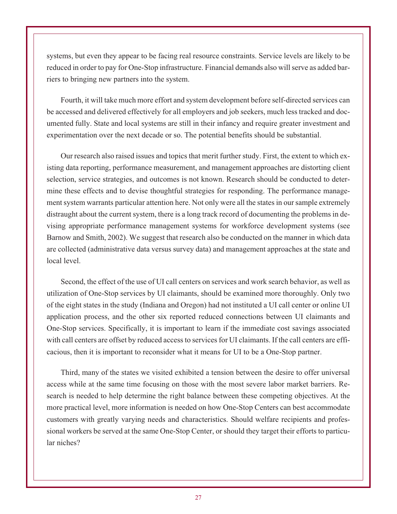systems, but even they appear to be facing real resource constraints. Service levels are likely to be reduced in order to pay for One-Stop infrastructure. Financial demands also will serve as added barriers to bringing new partners into the system.

Fourth, it will take much more effort and system development before self-directed services can be accessed and delivered effectively for all employers and job seekers, much less tracked and documented fully. State and local systems are still in their infancy and require greater investment and experimentation over the next decade or so. The potential benefits should be substantial.

Our research also raised issues and topics that merit further study. First, the extent to which existing data reporting, performance measurement, and management approaches are distorting client selection, service strategies, and outcomes is not known. Research should be conducted to determine these effects and to devise thoughtful strategies for responding. The performance management system warrants particular attention here. Not only were all the states in our sample extremely distraught about the current system, there is a long track record of documenting the problems in devising appropriate performance management systems for workforce development systems (see Barnow and Smith, 2002). We suggest that research also be conducted on the manner in which data are collected (administrative data versus survey data) and management approaches at the state and local level.

Second, the effect of the use of UI call centers on services and work search behavior, as well as utilization of One-Stop services by UI claimants, should be examined more thoroughly. Only two of the eight states in the study (Indiana and Oregon) had not instituted a UI call center or online UI application process, and the other six reported reduced connections between UI claimants and One-Stop services. Specifically, it is important to learn if the immediate cost savings associated with call centers are offset by reduced access to services for UI claimants. If the call centers are efficacious, then it is important to reconsider what it means for UI to be a One-Stop partner.

Third, many of the states we visited exhibited a tension between the desire to offer universal access while at the same time focusing on those with the most severe labor market barriers. Research is needed to help determine the right balance between these competing objectives. At the more practical level, more information is needed on how One-Stop Centers can best accommodate customers with greatly varying needs and characteristics. Should welfare recipients and professional workers be served at the same One-Stop Center, or should they target their efforts to particular niches?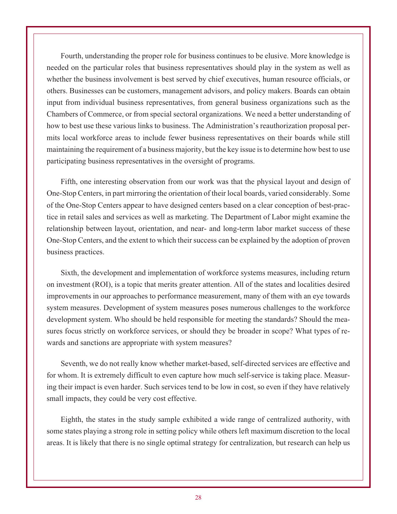Fourth, understanding the proper role for business continues to be elusive. More knowledge is needed on the particular roles that business representatives should play in the system as well as whether the business involvement is best served by chief executives, human resource officials, or others. Businesses can be customers, management advisors, and policy makers. Boards can obtain input from individual business representatives, from general business organizations such as the Chambers of Commerce, or from special sectoral organizations. We need a better understanding of how to best use these various links to business. The Administration's reauthorization proposal permits local workforce areas to include fewer business representatives on their boards while still maintaining the requirement of a business majority, but the key issue is to determine how best to use participating business representatives in the oversight of programs.

Fifth, one interesting observation from our work was that the physical layout and design of One-Stop Centers, in part mirroring the orientation of their local boards, varied considerably. Some of the One-Stop Centers appear to have designed centers based on a clear conception of best-practice in retail sales and services as well as marketing. The Department of Labor might examine the relationship between layout, orientation, and near- and long-term labor market success of these One-Stop Centers, and the extent to which their success can be explained by the adoption of proven business practices.

Sixth, the development and implementation of workforce systems measures, including return on investment (ROI), is a topic that merits greater attention. All of the states and localities desired improvements in our approaches to performance measurement, many of them with an eye towards system measures. Development of system measures poses numerous challenges to the workforce development system. Who should be held responsible for meeting the standards? Should the measures focus strictly on workforce services, or should they be broader in scope? What types of rewards and sanctions are appropriate with system measures?

Seventh, we do not really know whether market-based, self-directed services are effective and for whom. It is extremely difficult to even capture how much self-service is taking place. Measuring their impact is even harder. Such services tend to be low in cost, so even if they have relatively small impacts, they could be very cost effective.

Eighth, the states in the study sample exhibited a wide range of centralized authority, with some states playing a strong role in setting policy while others left maximum discretion to the local areas. It is likely that there is no single optimal strategy for centralization, but research can help us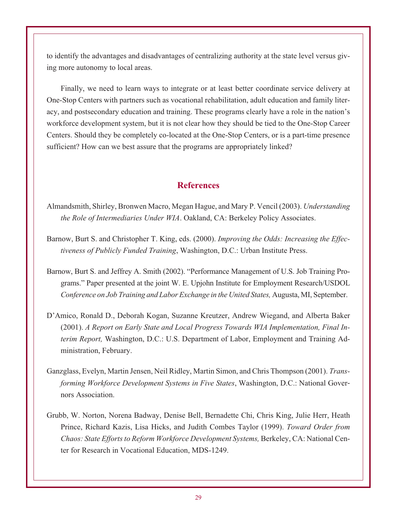to identify the advantages and disadvantages of centralizing authority at the state level versus giving more autonomy to local areas.

Finally, we need to learn ways to integrate or at least better coordinate service delivery at One-Stop Centers with partners such as vocational rehabilitation, adult education and family literacy, and postsecondary education and training. These programs clearly have a role in the nation's workforce development system, but it is not clear how they should be tied to the One-Stop Career Centers. Should they be completely co-located at the One-Stop Centers, or is a part-time presence sufficient? How can we best assure that the programs are appropriately linked?

#### **References**

- Almandsmith, Shirley, Bronwen Macro, Megan Hague, and Mary P. Vencil (2003). *Understanding the Role of Intermediaries Under WIA*. Oakland, CA: Berkeley Policy Associates.
- Barnow, Burt S. and Christopher T. King, eds. (2000). *Improving the Odds: Increasing the Effectiveness of Publicly Funded Training*, Washington, D.C.: Urban Institute Press.
- Barnow, Burt S. and Jeffrey A. Smith (2002). "Performance Management of U.S. Job Training Programs." Paper presented at the joint W. E. Upjohn Institute for Employment Research/USDOL *Conference on Job Training and Labor Exchange in the United States,* Augusta, MI, September.
- D'Amico, Ronald D., Deborah Kogan, Suzanne Kreutzer, Andrew Wiegand, and Alberta Baker (2001). *A Report on Early State and Local Progress Towards WIA Implementation, Final Interim Report,* Washington, D.C.: U.S. Department of Labor, Employment and Training Administration, February.
- Ganzglass, Evelyn, Martin Jensen, Neil Ridley, Martin Simon, and Chris Thompson (2001). *Transforming Workforce Development Systems in Five States*, Washington, D.C.: National Governors Association.
- Grubb, W. Norton, Norena Badway, Denise Bell, Bernadette Chi, Chris King, Julie Herr, Heath Prince, Richard Kazis, Lisa Hicks, and Judith Combes Taylor (1999). *Toward Order from Chaos: State Efforts to Reform Workforce Development Systems,* Berkeley, CA: National Center for Research in Vocational Education, MDS-1249.